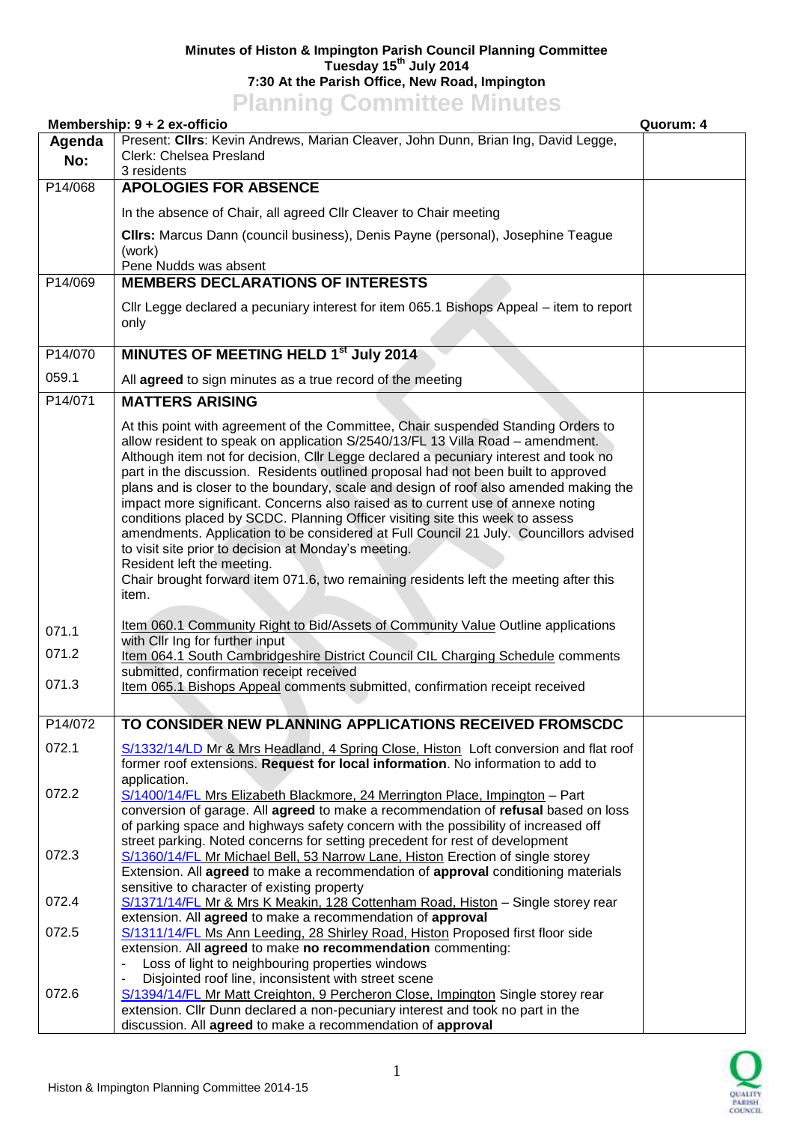## **Minutes of Histon & Impington Parish Council Planning Committee Tuesday 15th July 2014 7:30 At the Parish Office, New Road, Impington Planning Committee Minutes**

|         | <b>TRIBUTE COMMITTEE</b><br>Membership: 9 + 2 ex-officio                                                                                                                  | Quorum: 4 |
|---------|---------------------------------------------------------------------------------------------------------------------------------------------------------------------------|-----------|
| Agenda  | Present: Cllrs: Kevin Andrews, Marian Cleaver, John Dunn, Brian Ing, David Legge,                                                                                         |           |
| No:     | Clerk: Chelsea Presland                                                                                                                                                   |           |
| P14/068 | 3 residents<br><b>APOLOGIES FOR ABSENCE</b>                                                                                                                               |           |
|         | In the absence of Chair, all agreed Cllr Cleaver to Chair meeting                                                                                                         |           |
|         |                                                                                                                                                                           |           |
|         | CIIrs: Marcus Dann (council business), Denis Payne (personal), Josephine Teague<br>(work)                                                                                 |           |
|         | Pene Nudds was absent                                                                                                                                                     |           |
| P14/069 | <b>MEMBERS DECLARATIONS OF INTERESTS</b>                                                                                                                                  |           |
|         | CIIr Legge declared a pecuniary interest for item 065.1 Bishops Appeal – item to report                                                                                   |           |
|         | only                                                                                                                                                                      |           |
| P14/070 | MINUTES OF MEETING HELD 1 <sup>st</sup> July 2014                                                                                                                         |           |
| 059.1   | All agreed to sign minutes as a true record of the meeting                                                                                                                |           |
| P14/071 | <b>MATTERS ARISING</b>                                                                                                                                                    |           |
|         |                                                                                                                                                                           |           |
|         | At this point with agreement of the Committee, Chair suspended Standing Orders to<br>allow resident to speak on application S/2540/13/FL 13 Villa Road - amendment.       |           |
|         | Although item not for decision, Cllr Legge declared a pecuniary interest and took no                                                                                      |           |
|         | part in the discussion. Residents outlined proposal had not been built to approved                                                                                        |           |
|         | plans and is closer to the boundary, scale and design of roof also amended making the<br>impact more significant. Concerns also raised as to current use of annexe noting |           |
|         | conditions placed by SCDC. Planning Officer visiting site this week to assess                                                                                             |           |
|         | amendments. Application to be considered at Full Council 21 July. Councillors advised                                                                                     |           |
|         | to visit site prior to decision at Monday's meeting.                                                                                                                      |           |
|         | Resident left the meeting.                                                                                                                                                |           |
|         | Chair brought forward item 071.6, two remaining residents left the meeting after this                                                                                     |           |
|         | item.                                                                                                                                                                     |           |
| 071.1   | Item 060.1 Community Right to Bid/Assets of Community Value Outline applications                                                                                          |           |
| 071.2   | with Cllr Ing for further input                                                                                                                                           |           |
|         | Item 064.1 South Cambridgeshire District Council CIL Charging Schedule comments<br>submitted, confirmation receipt received                                               |           |
| 071.3   | Item 065.1 Bishops Appeal comments submitted, confirmation receipt received                                                                                               |           |
|         |                                                                                                                                                                           |           |
| P14/072 | TO CONSIDER NEW PLANNING APPLICATIONS RECEIVED FROMSCDC                                                                                                                   |           |
| 072.1   | S/1332/14/LD Mr & Mrs Headland, 4 Spring Close, Histon Loft conversion and flat roof                                                                                      |           |
|         | former roof extensions. Request for local information. No information to add to                                                                                           |           |
| 072.2   | application.<br>S/1400/14/FL Mrs Elizabeth Blackmore, 24 Merrington Place, Impington - Part                                                                               |           |
|         | conversion of garage. All agreed to make a recommendation of refusal based on loss                                                                                        |           |
|         | of parking space and highways safety concern with the possibility of increased off                                                                                        |           |
|         | street parking. Noted concerns for setting precedent for rest of development                                                                                              |           |
| 072.3   | S/1360/14/FL Mr Michael Bell, 53 Narrow Lane, Histon Erection of single storey                                                                                            |           |
|         | Extension. All agreed to make a recommendation of approval conditioning materials<br>sensitive to character of existing property                                          |           |
| 072.4   | S/1371/14/FL Mr & Mrs K Meakin, 128 Cottenham Road, Histon - Single storey rear                                                                                           |           |
|         | extension. All agreed to make a recommendation of approval                                                                                                                |           |
| 072.5   | S/1311/14/FL Ms Ann Leeding, 28 Shirley Road, Histon Proposed first floor side                                                                                            |           |
|         | extension. All agreed to make no recommendation commenting:                                                                                                               |           |
|         | Loss of light to neighbouring properties windows<br>Disjointed roof line, inconsistent with street scene                                                                  |           |
| 072.6   | S/1394/14/FL Mr Matt Creighton, 9 Percheron Close, Impington Single storey rear                                                                                           |           |
|         | extension. Cllr Dunn declared a non-pecuniary interest and took no part in the                                                                                            |           |
|         | discussion. All agreed to make a recommendation of approval                                                                                                               |           |